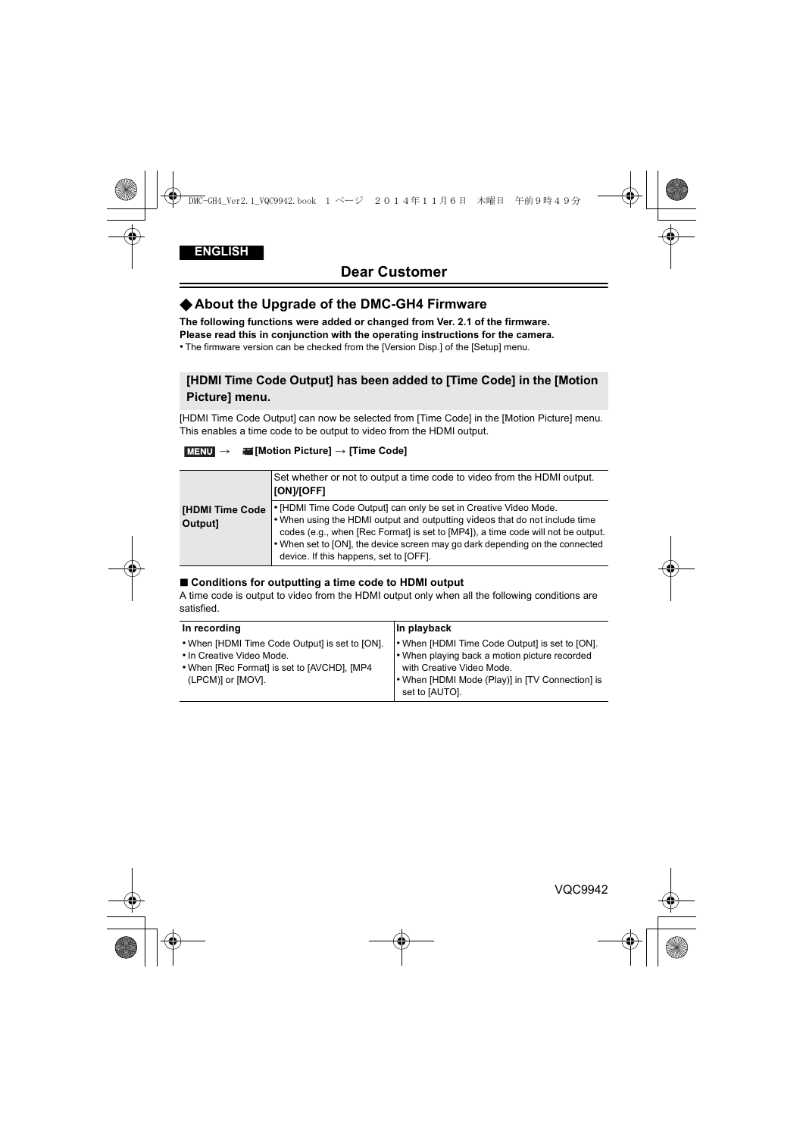# √**About the Upgrade of the DMC-GH4 Firmware**

**The following functions were added or changed from Ver. 2.1 of the firmware.**

**Please read this in conjunction with the operating instructions for the camera.**

• The firmware version can be checked from the [Version Disp.] of the [Setup] menu.

## **[HDMI Time Code Output] has been added to [Time Code] in the [Motion Picture] menu.**

[HDMI Time Code Output] can now be selected from [Time Code] in the [Motion Picture] menu. This enables a time code to be output to video from the HDMI output.

### > **[Motion Picture]** > **[Time Code]** MENU

|                              | Set whether or not to output a time code to video from the HDMI output.<br><b>[[ON]/[OFF]</b>                                                                                                                                                                                                                                                                  |
|------------------------------|----------------------------------------------------------------------------------------------------------------------------------------------------------------------------------------------------------------------------------------------------------------------------------------------------------------------------------------------------------------|
| [HDMI Time Code  <br>Output] | • [HDMI Time Code Output] can only be set in Creative Video Mode.<br>. When using the HDMI output and outputting videos that do not include time<br>codes (e.g., when [Rec Format] is set to [MP4]), a time code will not be output.<br>• When set to [ON], the device screen may go dark depending on the connected<br>device. If this happens, set to [OFF]. |

#### ■ Conditions for outputting a time code to HDMI output

A time code is output to video from the HDMI output only when all the following conditions are satisfied.

| In recording                                                                                                                                     | In playback                                                                                                                                                                                       |
|--------------------------------------------------------------------------------------------------------------------------------------------------|---------------------------------------------------------------------------------------------------------------------------------------------------------------------------------------------------|
| • When [HDMI Time Code Output] is set to [ON].<br>. In Creative Video Mode.<br>. When [Rec Format] is set to [AVCHD], [MP4]<br>(LPCM)] or [MOV]. | • When [HDMI Time Code Output] is set to [ON].<br>• When playing back a motion picture recorded<br>with Creative Video Mode.<br>. When [HDMI Mode (Play)] in [TV Connection] is<br>set to [AUTO]. |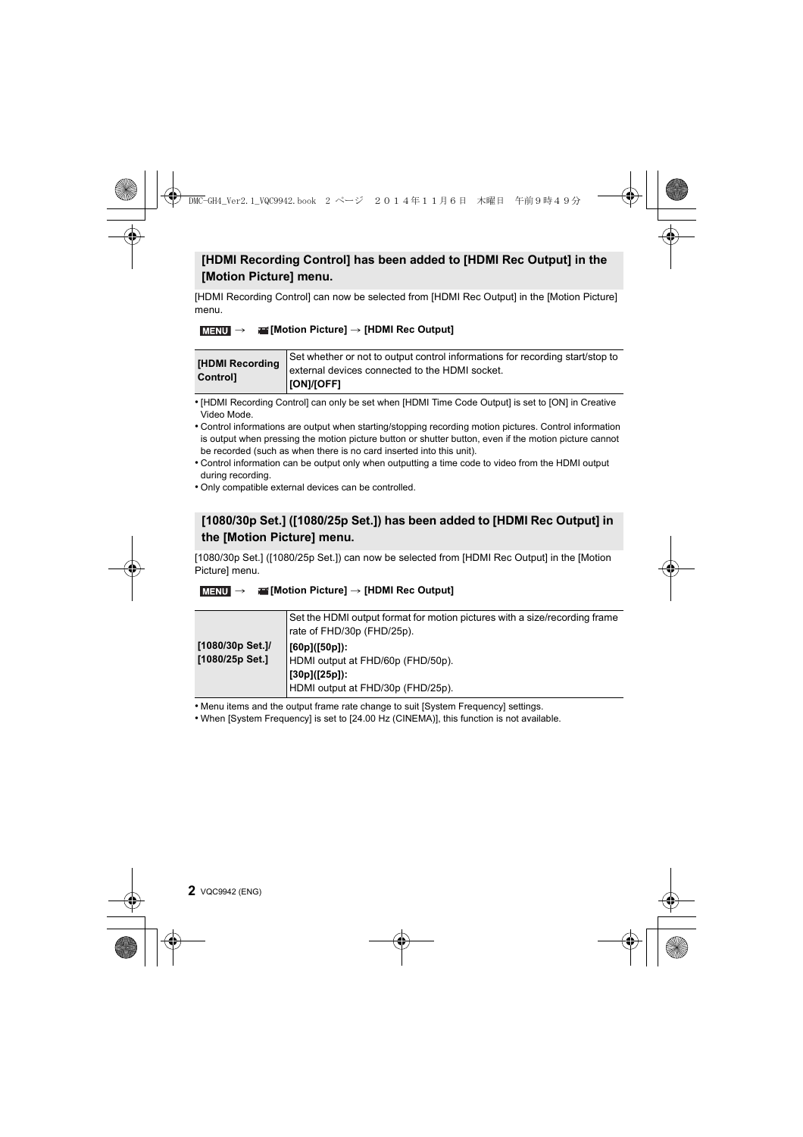# **[HDMI Recording Control] has been added to [HDMI Rec Output] in the [Motion Picture] menu.**

[HDMI Recording Control] can now be selected from [HDMI Rec Output] in the [Motion Picture] menu.

## > **[Motion Picture]** > **[HDMI Rec Output]** MENU

| [HDMI Recording<br><b>Controll</b> | Set whether or not to output control informations for recording start/stop to |
|------------------------------------|-------------------------------------------------------------------------------|
|                                    | external devices connected to the HDMI socket.                                |
|                                    | [[ON]/[OFF]                                                                   |

• [HDMI Recording Control] can only be set when [HDMI Time Code Output] is set to [ON] in Creative Video Mode.

- Control informations are output when starting/stopping recording motion pictures. Control information is output when pressing the motion picture button or shutter button, even if the motion picture cannot be recorded (such as when there is no card inserted into this unit).
- Control information can be output only when outputting a time code to video from the HDMI output during recording.
- Only compatible external devices can be controlled.

# **[1080/30p Set.] ([1080/25p Set.]) has been added to [HDMI Rec Output] in the [Motion Picture] menu.**

[1080/30p Set.] ([1080/25p Set.]) can now be selected from [HDMI Rec Output] in the [Motion Picture] menu.

### > **[Motion Picture]** > **[HDMI Rec Output]** MENU

|                                     | Set the HDMI output format for motion pictures with a size/recording frame<br>rate of FHD/30p (FHD/25p).         |
|-------------------------------------|------------------------------------------------------------------------------------------------------------------|
| [1080/30p Set.]/<br>[1080/25p Set.] | $  [60p]$ $  [50p]$ :<br>HDMI output at FHD/60p (FHD/50p).<br>[30p]([25p]):<br>HDMI output at FHD/30p (FHD/25p). |

• Menu items and the output frame rate change to suit [System Frequency] settings.

• When [System Frequency] is set to [24.00 Hz (CINEMA)], this function is not available.